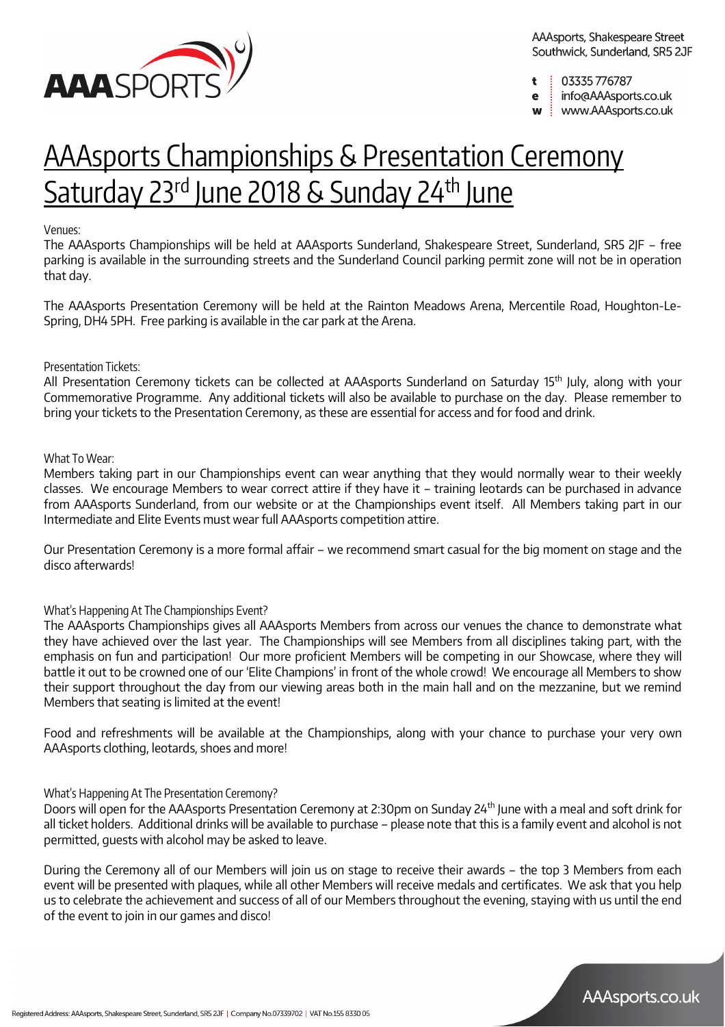

- 03335776787 t
- info@AAAsports.co.uk e
- www.AAAsports.co.uk

# AAAsports Championships & Presentation Ceremony Saturday 23rd June 2018 & Sunday 24th June

### Venues:

The AAAsports Championships will be held at AAAsports Sunderland, Shakespeare Street, Sunderland, SR5 2JF – free parking is available in the surrounding streets and the Sunderland Council parking permit zone will not be in operation that day.

The AAAsports Presentation Ceremony will be held at the Rainton Meadows Arena, Mercentile Road, Houghton-Le-Spring, DH4 5PH. Free parking is available in the car park at the Arena.

### Presentation Tickets:

All Presentation Ceremony tickets can be collected at AAAsports Sunderland on Saturday 15<sup>th</sup> July, along with your Commemorative Programme. Any additional tickets will also be available to purchase on the day. Please remember to bring your tickets to the Presentation Ceremony, as these are essential for access and for food and drink.

### What To Wear:

Members taking part in our Championships event can wear anything that they would normally wear to their weekly classes. We encourage Members to wear correct attire if they have it – training leotards can be purchased in advance from AAAsports Sunderland, from our website or at the Championships event itself. All Members taking part in our Intermediate and Elite Events must wear full AAAsports competition attire.

Our Presentation Ceremony is a more formal affair – we recommend smart casual for the big moment on stage and the disco afterwards!

### What's Happening At The Championships Event?

The AAAsports Championships gives all AAAsports Members from across our venues the chance to demonstrate what they have achieved over the last year. The Championships will see Members from all disciplines taking part, with the emphasis on fun and participation! Our more proficient Members will be competing in our Showcase, where they will battle it out to be crowned one of our 'Elite Champions' in front of the whole crowd! We encourage all Members to show their support throughout the day from our viewing areas both in the main hall and on the mezzanine, but we remind Members that seating is limited at the event!

Food and refreshments will be available at the Championships, along with your chance to purchase your very own AAAsports clothing, leotards, shoes and more!

### What's Happening At The Presentation Ceremony?

Doors will open for the AAAsports Presentation Ceremony at 2:30pm on Sunday 24<sup>th</sup> June with a meal and soft drink for all ticket holders. Additional drinks will be available to purchase – please note that this is a family event and alcohol is not permitted, guests with alcohol may be asked to leave.

During the Ceremony all of our Members will join us on stage to receive their awards – the top 3 Members from each event will be presented with plaques, while all other Members will receive medals and certificates. We ask that you help us to celebrate the achievement and success of all of our Members throughout the evening, staying with us until the end of the event to join in our games and disco!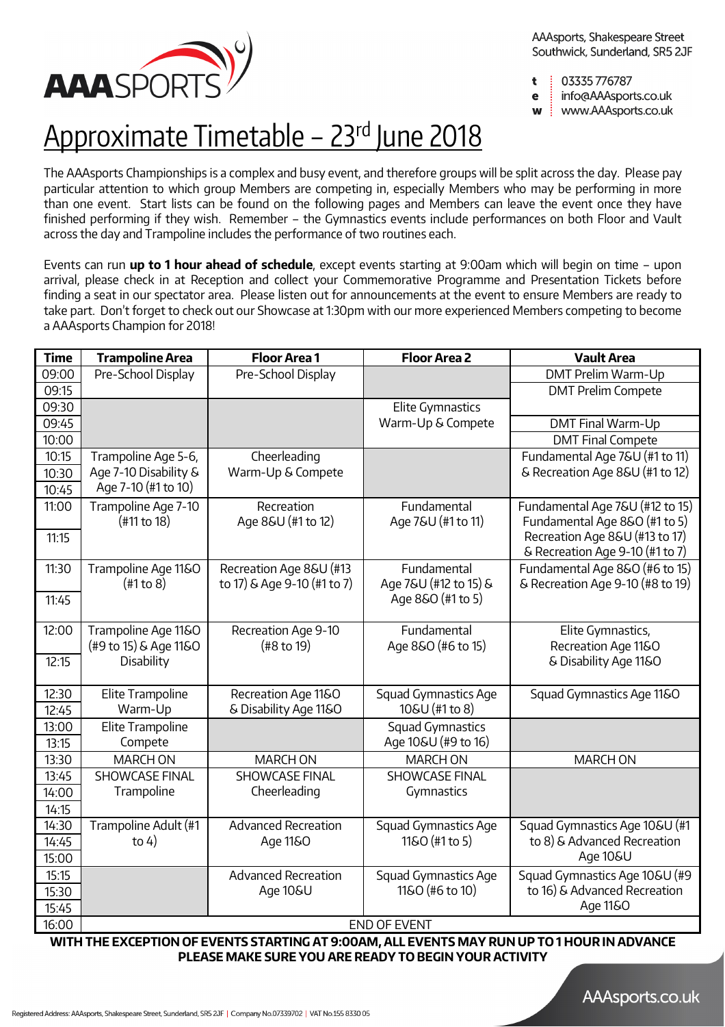

AAAsports, Shakespeare Street Southwick, Sunderland, SR5 2JF

- 03335 776787 t
- info@AAAsports.co.uk e
- www.AAAsports.co.uk W

# Approximate Timetable - 23<sup>rd</sup> June 2018

The AAAsports Championships is a complex and busy event, and therefore groups will be split across the day. Please pay particular attention to which group Members are competing in, especially Members who may be performing in more than one event. Start lists can be found on the following pages and Members can leave the event once they have finished performing if they wish. Remember – the Gymnastics events include performances on both Floor and Vault across the day and Trampoline includes the performance of two routines each.

Events can run **up to 1 hour ahead of schedule**, except events starting at 9:00am which will begin on time – upon arrival, please check in at Reception and collect your Commemorative Programme and Presentation Tickets before finding a seat in our spectator area. Please listen out for announcements at the event to ensure Members are ready to take part. Don't forget to check out our Showcase at 1:30pm with our more experienced Members competing to become a AAAsports Champion for 2018!

| <b>Time</b>    | <b>Trampoline Area</b>                            | <b>Floor Area 1</b>                                    | <b>Floor Area 2</b>                  | <b>Vault Area</b>                                                  |
|----------------|---------------------------------------------------|--------------------------------------------------------|--------------------------------------|--------------------------------------------------------------------|
| 09:00          | Pre-School Display                                | Pre-School Display                                     |                                      | DMT Prelim Warm-Up                                                 |
| 09:15          |                                                   |                                                        |                                      | <b>DMT Prelim Compete</b>                                          |
| 09:30          |                                                   |                                                        | Elite Gymnastics                     |                                                                    |
| 09:45          |                                                   |                                                        | Warm-Up & Compete                    | DMT Final Warm-Up                                                  |
| 10:00          |                                                   |                                                        |                                      | <b>DMT Final Compete</b>                                           |
| 10:15          | Trampoline Age 5-6,                               | Cheerleading                                           |                                      | Fundamental Age 7&U (#1 to 11)                                     |
| 10:30          | Age 7-10 Disability &                             | Warm-Up & Compete                                      |                                      | & Recreation Age 8&U (#1 to 12)                                    |
| 10:45          | Age 7-10 (#1 to 10)                               |                                                        |                                      |                                                                    |
| 11:00          | Trampoline Age 7-10<br>(#11 to 18)                | Recreation<br>Age 8&U (#1 to 12)                       | Fundamental<br>Age 7&U (#1 to 11)    | Fundamental Age 7&U (#12 to 15)<br>Fundamental Age 8&O (#1 to 5)   |
| 11:15          |                                                   |                                                        |                                      | Recreation Age 8&U (#13 to 17)<br>& Recreation Age 9-10 (#1 to 7)  |
| 11:30          | Trampoline Age 11&O<br>$(\text{\#}1\text{ to }8)$ | Recreation Age 8&U (#13<br>to 17) & Age 9-10 (#1 to 7) | Fundamental<br>Age 7&U (#12 to 15) & | Fundamental Age 8&O (#6 to 15)<br>& Recreation Age 9-10 (#8 to 19) |
| 11:45          |                                                   |                                                        | Age 8&O (#1 to 5)                    |                                                                    |
| 12:00          | Trampoline Age 11&O<br>(#9 to 15) & Age 11&O      | Recreation Age 9-10<br>(48 to 19)                      | Fundamental<br>Age 8&O (#6 to 15)    | Elite Gymnastics,<br>Recreation Age 11&O                           |
| 12:15          | Disability                                        |                                                        |                                      | & Disability Age 11&O                                              |
| 12:30          | Elite Trampoline                                  | Recreation Age 11&O                                    | Squad Gymnastics Age                 | Squad Gymnastics Age 11&O                                          |
| 12:45          | Warm-Up                                           | & Disability Age 11&O                                  | 10&U (#1 to 8)                       |                                                                    |
| 13:00          | Elite Trampoline                                  |                                                        | Squad Gymnastics                     |                                                                    |
| 13:15          | Compete                                           |                                                        | Age 10&U (#9 to 16)                  |                                                                    |
| 13:30          | <b>MARCH ON</b>                                   | <b>MARCH ON</b>                                        | <b>MARCH ON</b>                      | <b>MARCH ON</b>                                                    |
| 13:45          | <b>SHOWCASE FINAL</b>                             | <b>SHOWCASE FINAL</b>                                  | <b>SHOWCASE FINAL</b>                |                                                                    |
| 14:00          | Trampoline                                        | Cheerleading                                           | Gymnastics                           |                                                                    |
| 14:15          |                                                   |                                                        |                                      |                                                                    |
| 14:30          | Trampoline Adult (#1                              | <b>Advanced Recreation</b>                             | Squad Gymnastics Age                 | Squad Gymnastics Age 10&U (#1                                      |
| 14:45<br>15:00 | to $4)$                                           | Age 11&0                                               | 11&O (#1 to 5)                       | to 8) & Advanced Recreation<br>Age 10&U                            |
| 15:15          |                                                   | <b>Advanced Recreation</b>                             | Squad Gymnastics Age                 | Squad Gymnastics Age 10&U (#9                                      |
| 15:30          |                                                   | Age 10&U                                               | 11&O (#6 to 10)                      | to 16) & Advanced Recreation                                       |
| 15:45          |                                                   |                                                        |                                      | Age 11&O                                                           |
| 16:00          | <b>END OF EVENT</b>                               |                                                        |                                      |                                                                    |

**WITH THE EXCEPTION OF EVENTS STARTING AT 9:00AM, ALL EVENTS MAY RUN UP TO 1 HOUR IN ADVANCE PLEASE MAKE SURE YOU ARE READY TO BEGIN YOUR ACTIVITY**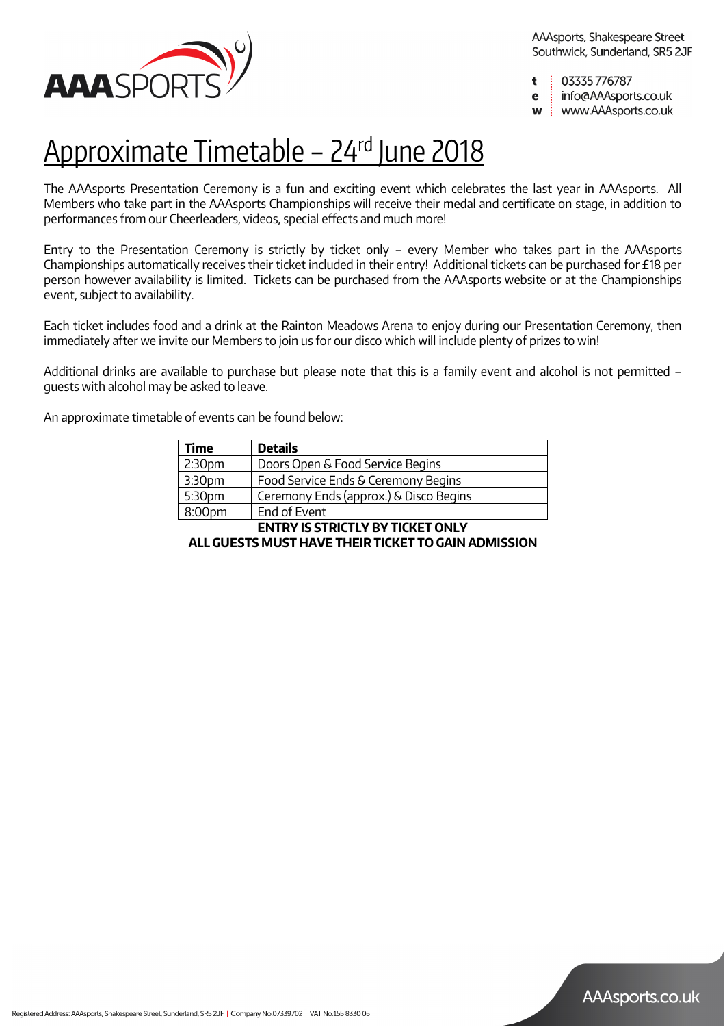

AAAsports, Shakespeare Street Southwick, Sunderland, SR5 2JF

03335776787 t

info@AAAsports.co.uk e

www.AAAsports.co.uk W

# <u> Approximate Timetable – 24rd June 2018</u>

The AAAsports Presentation Ceremony is a fun and exciting event which celebrates the last year in AAAsports. All Members who take part in the AAAsports Championships will receive their medal and certificate on stage, in addition to performances from our Cheerleaders, videos, special effects and much more!

Entry to the Presentation Ceremony is strictly by ticket only – every Member who takes part in the AAAsports Championships automatically receives their ticket included in their entry! Additional tickets can be purchased for £18 per person however availability is limited. Tickets can be purchased from the AAAsports website or at the Championships event, subject to availability.

Each ticket includes food and a drink at the Rainton Meadows Arena to enjoy during our Presentation Ceremony, then immediately after we invite our Members to join us for our disco which will include plenty of prizes to win!

Additional drinks are available to purchase but please note that this is a family event and alcohol is not permitted – guests with alcohol may be asked to leave.

An approximate timetable of events can be found below:

| Time               | <b>Details</b>                         |
|--------------------|----------------------------------------|
| 2:30 <sub>pm</sub> | Doors Open & Food Service Begins       |
| 3:30 <sub>pm</sub> | Food Service Ends & Ceremony Begins    |
| 5:30pm             | Ceremony Ends (approx.) & Disco Begins |
| 8:00pm             | End of Event                           |

**ENTRY IS STRICTLY BY TICKET ONLY**

**ALL GUESTS MUST HAVE THEIR TICKET TO GAIN ADMISSION**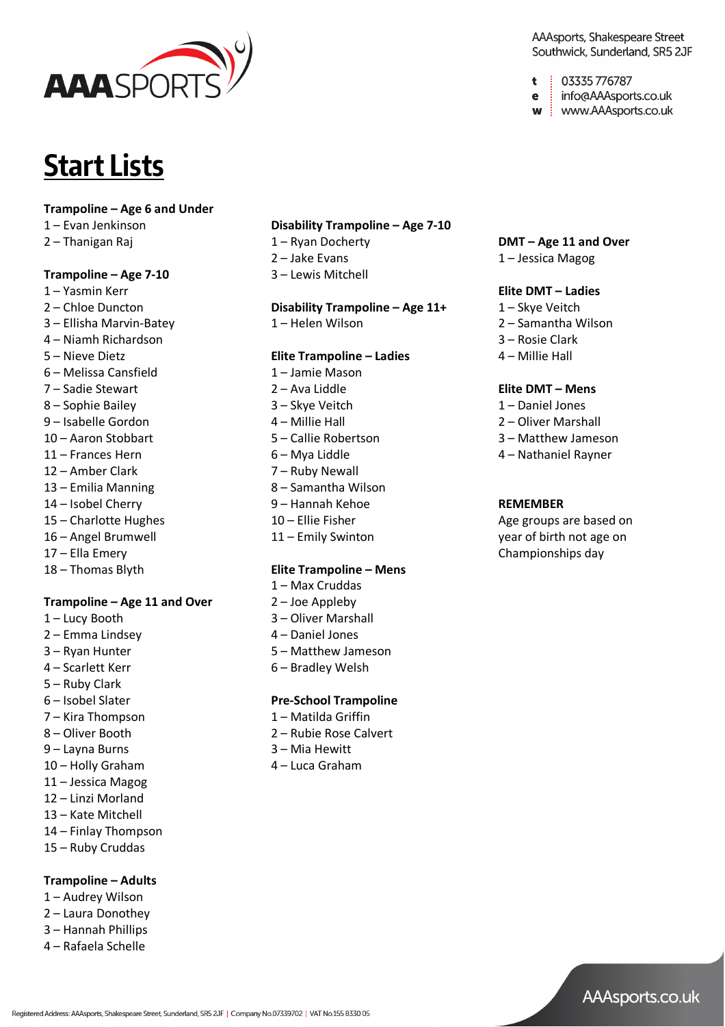

# **Start Lists**

### **Trampoline – Age 6 and Under**

- 1 Evan Jenkinson
- 2 Thanigan Raj

### **Trampoline – Age 7-10**

- 1 Yasmin Kerr
- 2 Chloe Duncton
- 3 Ellisha Marvin-Batey
- 4 Niamh Richardson
- 5 Nieve Dietz
- 6 Melissa Cansfield
- 7 Sadie Stewart
- 8 Sophie Bailey
- 9 Isabelle Gordon
- 10 Aaron Stobbart
- 11 Frances Hern
- 12 Amber Clark
- 13 Emilia Manning
- 14 Isobel Cherry
- 15 Charlotte Hughes
- 16 Angel Brumwell
- 17 Ella Emery
- 18 Thomas Blyth

### **Trampoline – Age 11 and Over**

- 1 Lucy Booth
- 2 Emma Lindsey
- 3 Ryan Hunter
- 4 Scarlett Kerr
- 5 Ruby Clark
- 6 Isobel Slater
- 7 Kira Thompson
- 8 Oliver Booth
- 9 Layna Burns
- 10 Holly Graham
- 11 Jessica Magog
- 12 Linzi Morland
- 13 Kate Mitchell
- 14 Finlay Thompson
- 15 Ruby Cruddas

### **Trampoline – Adults**

- 1 Audrey Wilson
- 2 Laura Donothey
- 3 Hannah Phillips
- 4 Rafaela Schelle

### **Disability Trampoline – Age 7-10**

- 1 Ryan Docherty
- 2 Jake Evans
- 3 Lewis Mitchell

### **Disability Trampoline – Age 11+**

1 – Helen Wilson

### **Elite Trampoline – Ladies**

- 1 Jamie Mason
- 2 Ava Liddle
- 3 Skye Veitch
- 4 Millie Hall
- 5 Callie Robertson
- 6 Mya Liddle
- 7 Ruby Newall
- 8 Samantha Wilson
- 9 Hannah Kehoe
- 10 Ellie Fisher
- 11 Emily Swinton

#### **Elite Trampoline – Mens**

- 1 Max Cruddas
- 2 Joe Appleby
- 3 Oliver Marshall
- 4 Daniel Jones
- 5 Matthew Jameson
- 6 Bradley Welsh

### **Pre-School Trampoline**

- 1 Matilda Griffin
- 2 Rubie Rose Calvert
- 3 Mia Hewitt
- 4 Luca Graham

### AAAsports, Shakespeare Street Southwick, Sunderland, SR5 2JF

- 03335 776787 t
- info@AAAsports.co.uk e
- w | www.AAAsports.co.uk

### **DMT – Age 11 and Over**

1 – Jessica Magog

### **Elite DMT – Ladies**

- 1 Skye Veitch
- 2 Samantha Wilson
- 3 Rosie Clark
- 4 Millie Hall

### **Elite DMT – Mens**

- 1 Daniel Jones
- 2 Oliver Marshall
- 3 Matthew Jameson
- 4 Nathaniel Rayner

### **REMEMBER**

Age groups are based on year of birth not age on Championships day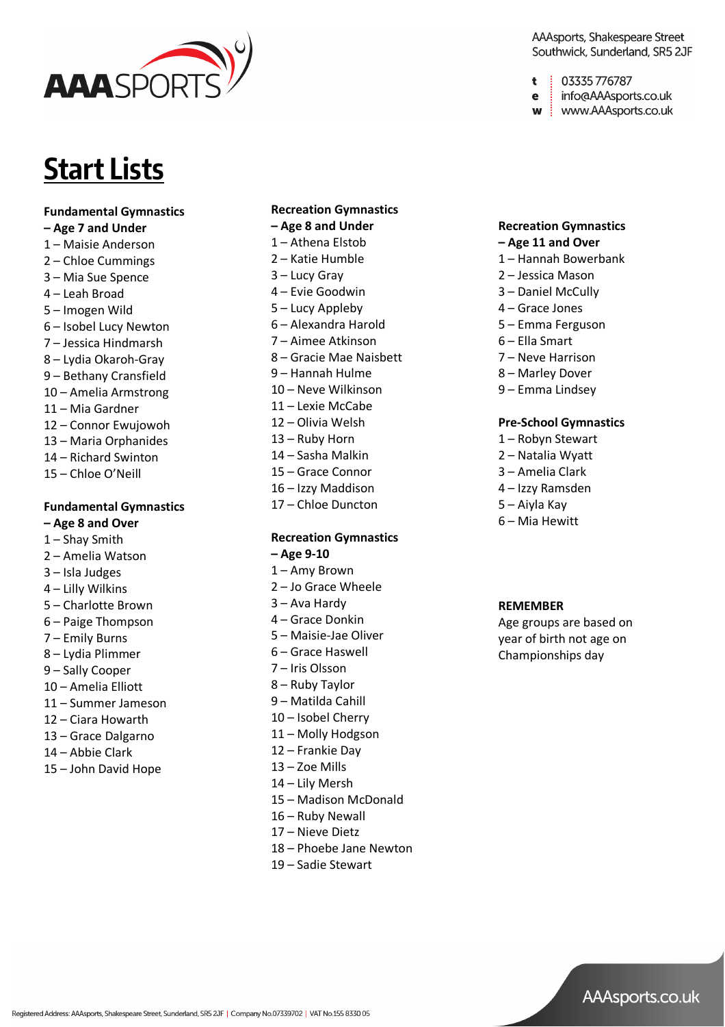

# **Start Lists**

### **Fundamental Gymnastics**

- **– Age 7 and Under**
- Maisie Anderson
- Chloe Cummings
- Mia Sue Spence
- Leah Broad
- Imogen Wild
- Isobel Lucy Newton
- Jessica Hindmarsh
- Lydia Okaroh -Gray
- Bethany Cransfield
- Amelia Armstrong
- Mia Gardner
- Connor Ewujowoh
- Maria Orphanides
- Richard Swinton
- Chloe O'Neill

## **Fundamental Gymnastics – Age 8 and Over**

- Shay Smith
- Amelia Watson
- Isla Judges
- Lilly Wilkins
- Charlotte Brown
- Paige Thompson
- Emily Burns
- Lydia Plimmer
- Sally Cooper
- Amelia Elliott
- Summer Jameson
- Ciara Howarth
- Grace Dalgarno
- Abbie Clark
- John David Hope

Registered Address: AAAsports, Shakespeare Street, Sunderland, SR5 2JF | Company No.07339702 | VAT No.155 8330 05

## **Recreation Gymnastics – Age 8 and Under**

- 
- Athena Elstob
- Katie Humble
- Lucy Gray
- Evie Goodwin
- Lucy Appleby
- Alexandra Harold
- Aimee Atkinson
- Gracie Mae Naisbett
- Hannah Hulme
- Neve Wilkinson
- Lexie McCabe
- Olivia Welsh
- Ruby Horn
- Sasha Malkin
- Grace Connor
- Izzy Maddison
- Chloe Duncton

## **Recreation Gymnastics – Age 9-10**

- 
- Amy Brown – Jo Grace Wheele
- 
- Ava Hardy
- Grace Donkin
- Maisie -Jae Oliver
- Grace Haswell
- Iris Olsson
- Ruby Taylor
- Matilda Cahill
- Isobel Cherry
- Molly Hodgson
- 2 Frankie Day
- Zoe Mills
- Lily Mersh
- Madison McDonald
- Ruby Newall
- 7 Nieve Dietz
- 8 Phoebe Jane Newton
- Sadie Stewart

### AAAsports, Shakespeare Street Southwick, Sunderland, SR5 2JF

- 03335 776787 t
- info@AAAsports.co.uk e
- w | www.AAAsports.co.uk

## **Recreation Gymnastics – Age 11 and Over**

- Hannah Bowerbank
- Jessica Mason
- Daniel McCully
- Grace Jones
- Emma Ferguson
- Ella Smart
- Neve Harrison
- Marley Dover
- Emma Lindsey

### **Pre -School Gymnastics**

- Robyn Stewart
- Natalia Wyatt
- Amelia Clark
- Izzy Ramsden
- Aiyla Kay
- Mia Hewitt

#### **REMEMBER**

Age groups are based on year of birth not age on Championships day

AAAsports.co.uk